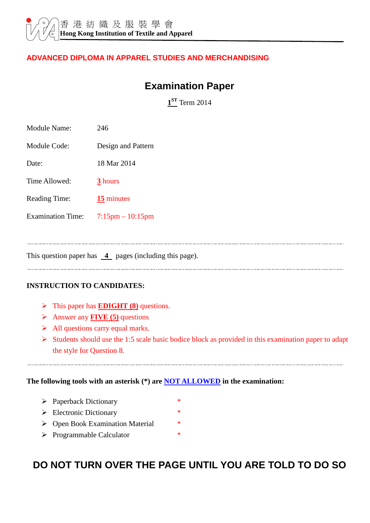#### **ADVANCED DIPLOMA IN APPAREL STUDIES AND MERCHANDISING**

## **Examination Paper**

**1 ST** Term 2014

| <b>Module Name:</b>                                                | 246                   |  |  |  |
|--------------------------------------------------------------------|-----------------------|--|--|--|
| Module Code:                                                       | Design and Pattern    |  |  |  |
| Date:                                                              | 18 Mar 2014           |  |  |  |
| Time Allowed:                                                      | 3 hours               |  |  |  |
| <b>Reading Time:</b>                                               | $15$ minutes          |  |  |  |
| <b>Examination Time:</b>                                           | $7:15$ pm $-10:15$ pm |  |  |  |
|                                                                    |                       |  |  |  |
| This question paper has $\frac{4}{ }$ pages (including this page). |                       |  |  |  |

#### **INSTRUCTION TO CANDIDATES:**

- > This paper has **EDIGHT (8)** questions.
- Answer any **FIVE (5)** questions
- $\triangleright$  All questions carry equal marks.
- $\triangleright$  Students should use the 1:5 scale basic bodice block as provided in this examination paper to adapt the style for Question 8.

#### **The following tools with an asterisk (\*) are NOT ALLOWED in the examination:**

- Paperback Dictionary \*
- $\triangleright$  Electronic Dictionary
- ▶ Open Book Examination Material \*
- > Programmable Calculator \*

# **DO NOT TURN OVER THE PAGE UNTIL YOU ARE TOLD TO DO SO**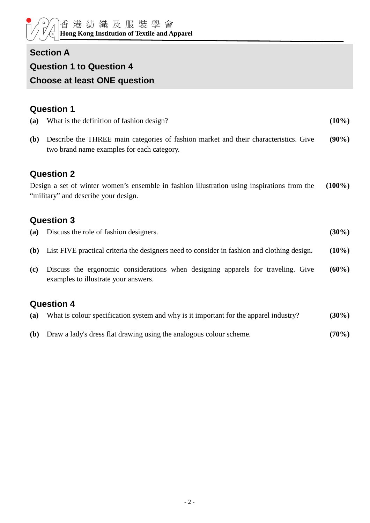## **Section A**

#### **Question 1 to Question 4**

### **Choose at least ONE question**

## **Question 1**

| (a)        | What is the definition of fashion design?                                                                                           | $(10\%)$  |
|------------|-------------------------------------------------------------------------------------------------------------------------------------|-----------|
| <b>(b)</b> | Describe the THREE main categories of fashion market and their characteristics. Give<br>two brand name examples for each category.  | $(90\%)$  |
|            | <b>Question 2</b>                                                                                                                   |           |
|            | Design a set of winter women's ensemble in fashion illustration using inspirations from the<br>"military" and describe your design. | $(100\%)$ |
|            | <b>Question 3</b>                                                                                                                   |           |
| (a)        | Discuss the role of fashion designers.                                                                                              | $(30\%)$  |
| <b>(b)</b> | List FIVE practical criteria the designers need to consider in fashion and clothing design.                                         | $(10\%)$  |
| (c)        | Discuss the ergonomic considerations when designing apparels for traveling. Give<br>examples to illustrate your answers.            | $(60\%)$  |
|            | <b>Question 4</b>                                                                                                                   |           |
| (a)        | What is colour specification system and why is it important for the apparel industry?                                               | $(30\%)$  |

**(b)** Draw a lady's dress flat drawing using the analogous colour scheme. **(70%)**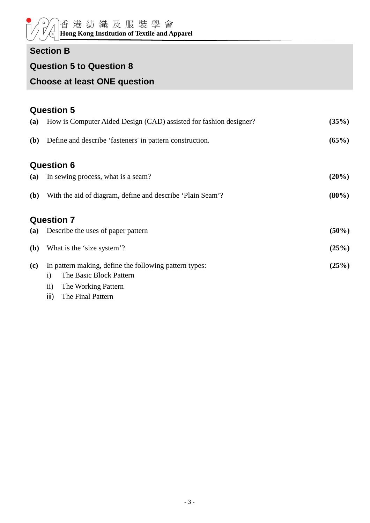## **Section B**

### **Question 5 to Question 8**

# **Choose at least ONE question**

|              | <b>Question 5</b>                                                                                 |          |
|--------------|---------------------------------------------------------------------------------------------------|----------|
| (a)          | How is Computer Aided Design (CAD) assisted for fashion designer?                                 | (35%)    |
| <b>(b)</b>   | Define and describe 'fasteners' in pattern construction.                                          | (65%)    |
|              | <b>Question 6</b>                                                                                 |          |
| (a)          | In sewing process, what is a seam?                                                                | $(20\%)$ |
| ( <b>b</b> ) | With the aid of diagram, define and describe 'Plain Seam'?                                        | $(80\%)$ |
|              | <b>Question 7</b>                                                                                 |          |
| (a)          | Describe the uses of paper pattern                                                                |          |
| <b>(b)</b>   | What is the 'size system'?                                                                        |          |
| (c)          | In pattern making, define the following pattern types:<br>The Basic Block Pattern<br>$\mathbf{i}$ | (25%)    |
|              | $\mathbf{ii}$<br>The Working Pattern<br>The Final Pattern                                         |          |
|              | iii)                                                                                              |          |